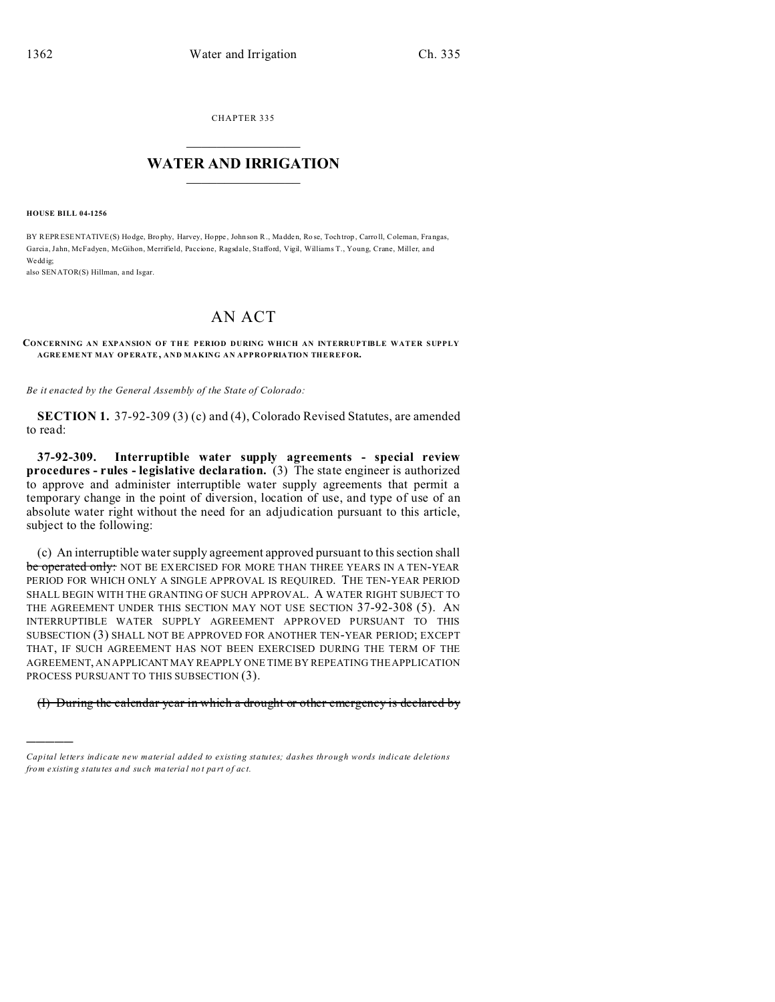CHAPTER 335  $\overline{\phantom{a}}$  , where  $\overline{\phantom{a}}$ 

## **WATER AND IRRIGATION**  $\_$   $\_$   $\_$   $\_$   $\_$   $\_$   $\_$   $\_$   $\_$

**HOUSE BILL 04-1256**

)))))

BY REPRESENTATIVE(S) Hodge, Bro phy, Harvey, Hoppe , John son R., Madden, Ro se, Toch trop , Carro ll, Coleman, Frangas, Garcia, Jahn, McFadyen, McGihon, Merrifield, Paccione, Ragsdale, Stafford, Vigil, Williams T., Young, Crane, Miller, and We dd ig:

also SENATOR(S) Hillman, and Isgar.

## AN ACT

## **CONCERNING AN EXPANSION OF THE PERIOD DURING WHICH AN INTERRUPTIBLE WATER SUPPLY AGRE EME NT MAY OPERATE, AND MAKING AN APPROPRIATION THEREFOR.**

*Be it enacted by the General Assembly of the State of Colorado:*

**SECTION 1.** 37-92-309 (3) (c) and (4), Colorado Revised Statutes, are amended to read:

**37-92-309. Interruptible water supply agreements - special review procedures - rules - legislative declaration.** (3) The state engineer is authorized to approve and administer interruptible water supply agreements that permit a temporary change in the point of diversion, location of use, and type of use of an absolute water right without the need for an adjudication pursuant to this article, subject to the following:

(c) An interruptible water supply agreement approved pursuant to this section shall be operated only: NOT BE EXERCISED FOR MORE THAN THREE YEARS IN A TEN-YEAR PERIOD FOR WHICH ONLY A SINGLE APPROVAL IS REQUIRED. THE TEN-YEAR PERIOD SHALL BEGIN WITH THE GRANTING OF SUCH APPROVAL. A WATER RIGHT SUBJECT TO THE AGREEMENT UNDER THIS SECTION MAY NOT USE SECTION 37-92-308 (5). AN INTERRUPTIBLE WATER SUPPLY AGREEMENT APPROVED PURSUANT TO THIS SUBSECTION (3) SHALL NOT BE APPROVED FOR ANOTHER TEN-YEAR PERIOD; EXCEPT THAT, IF SUCH AGREEMENT HAS NOT BEEN EXERCISED DURING THE TERM OF THE AGREEMENT, AN APPLICANT MAY REAPPLY ONE TIME BY REPEATING THE APPLICATION PROCESS PURSUANT TO THIS SUBSECTION (3).

(I) During the calendar year in which a drought or other emergency is declared by

*Capital letters indicate new material added to existing statutes; dashes through words indicate deletions from e xistin g statu tes a nd such ma teria l no t pa rt of ac t.*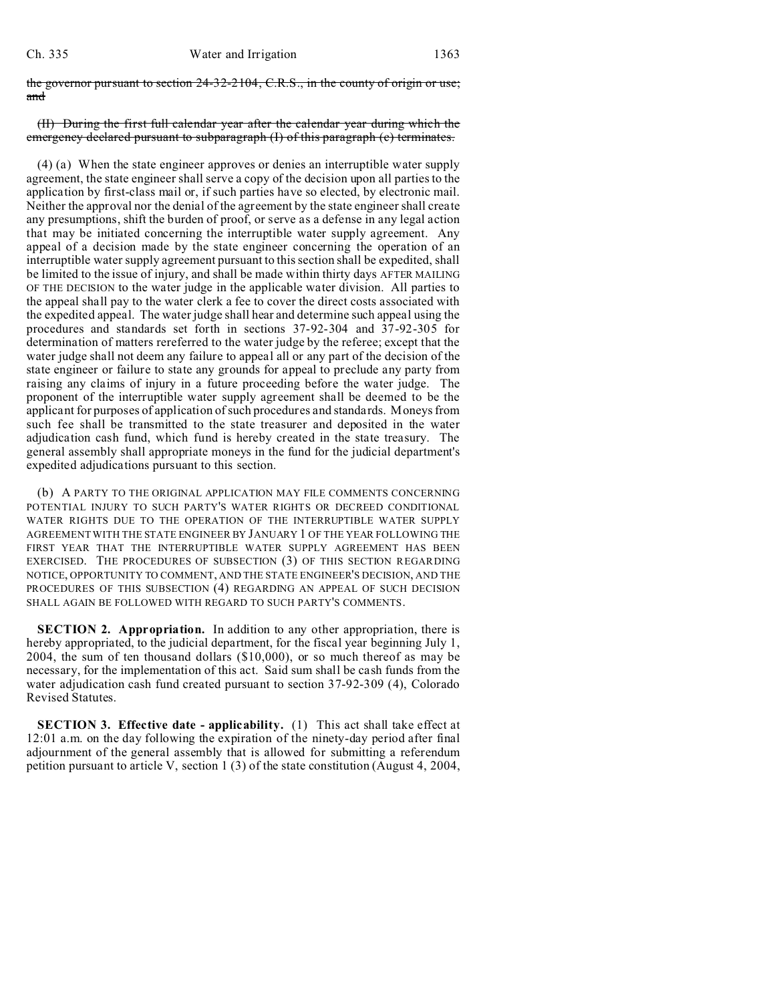the governor pursuant to section 24-32-2104, C.R.S., in the county of origin or use; and

## (II) During the first full calendar year after the calendar year during which the emergency declared pursuant to subparagraph (I) of this paragraph (c) terminates.

(4) (a) When the state engineer approves or denies an interruptible water supply agreement, the state engineer shall serve a copy of the decision upon all parties to the application by first-class mail or, if such parties have so elected, by electronic mail. Neither the approval nor the denial of the agreement by the state engineer shall create any presumptions, shift the burden of proof, or serve as a defense in any legal action that may be initiated concerning the interruptible water supply agreement. Any appeal of a decision made by the state engineer concerning the operation of an interruptible water supply agreement pursuant to this section shall be expedited, shall be limited to the issue of injury, and shall be made within thirty days AFTER MAILING OF THE DECISION to the water judge in the applicable water division. All parties to the appeal shall pay to the water clerk a fee to cover the direct costs associated with the expedited appeal. The water judge shall hear and determine such appeal using the procedures and standards set forth in sections 37-92-304 and 37-92-305 for determination of matters rereferred to the water judge by the referee; except that the water judge shall not deem any failure to appeal all or any part of the decision of the state engineer or failure to state any grounds for appeal to preclude any party from raising any claims of injury in a future proceeding before the water judge. The proponent of the interruptible water supply agreement shall be deemed to be the applicant for purposes of application of such procedures and standards. Moneys from such fee shall be transmitted to the state treasurer and deposited in the water adjudication cash fund, which fund is hereby created in the state treasury. The general assembly shall appropriate moneys in the fund for the judicial department's expedited adjudications pursuant to this section.

(b) A PARTY TO THE ORIGINAL APPLICATION MAY FILE COMMENTS CONCERNING POTENTIAL INJURY TO SUCH PARTY'S WATER RIGHTS OR DECREED CONDITIONAL WATER RIGHTS DUE TO THE OPERATION OF THE INTERRUPTIBLE WATER SUPPLY AGREEMENT WITH THE STATE ENGINEER BY JANUARY 1 OF THE YEAR FOLLOWING THE FIRST YEAR THAT THE INTERRUPTIBLE WATER SUPPLY AGREEMENT HAS BEEN EXERCISED. THE PROCEDURES OF SUBSECTION (3) OF THIS SECTION REGARDING NOTICE, OPPORTUNITY TO COMMENT, AND THE STATE ENGINEER'S DECISION, AND THE PROCEDURES OF THIS SUBSECTION (4) REGARDING AN APPEAL OF SUCH DECISION SHALL AGAIN BE FOLLOWED WITH REGARD TO SUCH PARTY'S COMMENTS.

**SECTION 2. Appropriation.** In addition to any other appropriation, there is hereby appropriated, to the judicial department, for the fiscal year beginning July 1, 2004, the sum of ten thousand dollars (\$10,000), or so much thereof as may be necessary, for the implementation of this act. Said sum shall be cash funds from the water adjudication cash fund created pursuant to section 37-92-309 (4), Colorado Revised Statutes.

**SECTION 3. Effective date - applicability.** (1) This act shall take effect at 12:01 a.m. on the day following the expiration of the ninety-day period after final adjournment of the general assembly that is allowed for submitting a referendum petition pursuant to article V, section 1 (3) of the state constitution (August 4, 2004,